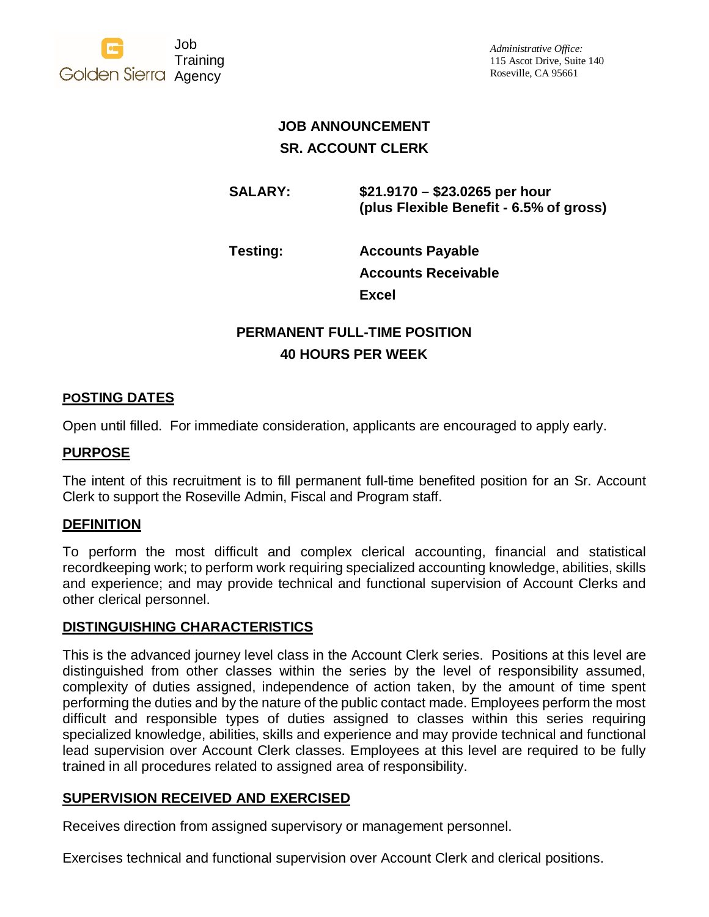

*Administrative Office:* 115 Ascot Drive, Suite 140 Roseville, CA 95661

## **JOB ANNOUNCEMENT SR. ACCOUNT CLERK**

**SALARY: \$21.9170 – \$23.0265 per hour (plus Flexible Benefit - 6.5% of gross)**

**Testing: Accounts Payable Accounts Receivable Excel** 

# **PERMANENT FULL-TIME POSITION 40 HOURS PER WEEK**

## **POSTING DATES**

Open until filled. For immediate consideration, applicants are encouraged to apply early.

## **PURPOSE**

The intent of this recruitment is to fill permanent full-time benefited position for an Sr. Account Clerk to support the Roseville Admin, Fiscal and Program staff.

### **DEFINITION**

To perform the most difficult and complex clerical accounting, financial and statistical recordkeeping work; to perform work requiring specialized accounting knowledge, abilities, skills and experience; and may provide technical and functional supervision of Account Clerks and other clerical personnel.

### **DISTINGUISHING CHARACTERISTICS**

This is the advanced journey level class in the Account Clerk series. Positions at this level are distinguished from other classes within the series by the level of responsibility assumed, complexity of duties assigned, independence of action taken, by the amount of time spent performing the duties and by the nature of the public contact made. Employees perform the most difficult and responsible types of duties assigned to classes within this series requiring specialized knowledge, abilities, skills and experience and may provide technical and functional lead supervision over Account Clerk classes. Employees at this level are required to be fully trained in all procedures related to assigned area of responsibility.

### **SUPERVISION RECEIVED AND EXERCISED**

Receives direction from assigned supervisory or management personnel.

Exercises technical and functional supervision over Account Clerk and clerical positions.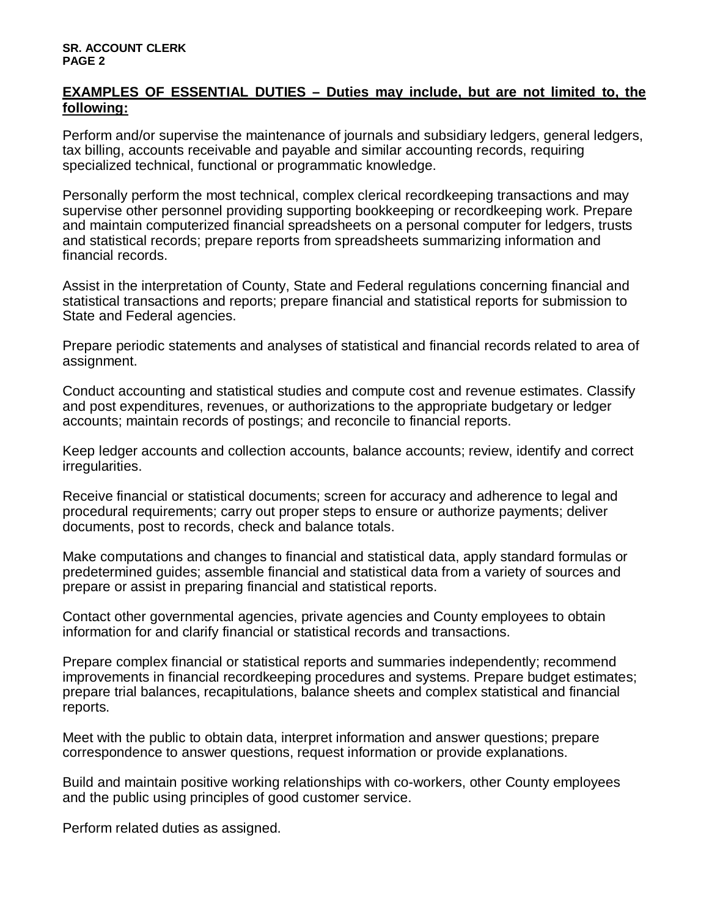### **EXAMPLES OF ESSENTIAL DUTIES – Duties may include, but are not limited to, the following:**

Perform and/or supervise the maintenance of journals and subsidiary ledgers, general ledgers, tax billing, accounts receivable and payable and similar accounting records, requiring specialized technical, functional or programmatic knowledge.

Personally perform the most technical, complex clerical recordkeeping transactions and may supervise other personnel providing supporting bookkeeping or recordkeeping work. Prepare and maintain computerized financial spreadsheets on a personal computer for ledgers, trusts and statistical records; prepare reports from spreadsheets summarizing information and financial records.

Assist in the interpretation of County, State and Federal regulations concerning financial and statistical transactions and reports; prepare financial and statistical reports for submission to State and Federal agencies.

Prepare periodic statements and analyses of statistical and financial records related to area of assignment.

Conduct accounting and statistical studies and compute cost and revenue estimates. Classify and post expenditures, revenues, or authorizations to the appropriate budgetary or ledger accounts; maintain records of postings; and reconcile to financial reports.

Keep ledger accounts and collection accounts, balance accounts; review, identify and correct irregularities.

Receive financial or statistical documents; screen for accuracy and adherence to legal and procedural requirements; carry out proper steps to ensure or authorize payments; deliver documents, post to records, check and balance totals.

Make computations and changes to financial and statistical data, apply standard formulas or predetermined guides; assemble financial and statistical data from a variety of sources and prepare or assist in preparing financial and statistical reports.

Contact other governmental agencies, private agencies and County employees to obtain information for and clarify financial or statistical records and transactions.

Prepare complex financial or statistical reports and summaries independently; recommend improvements in financial recordkeeping procedures and systems. Prepare budget estimates; prepare trial balances, recapitulations, balance sheets and complex statistical and financial reports.

Meet with the public to obtain data, interpret information and answer questions; prepare correspondence to answer questions, request information or provide explanations.

Build and maintain positive working relationships with co-workers, other County employees and the public using principles of good customer service.

Perform related duties as assigned.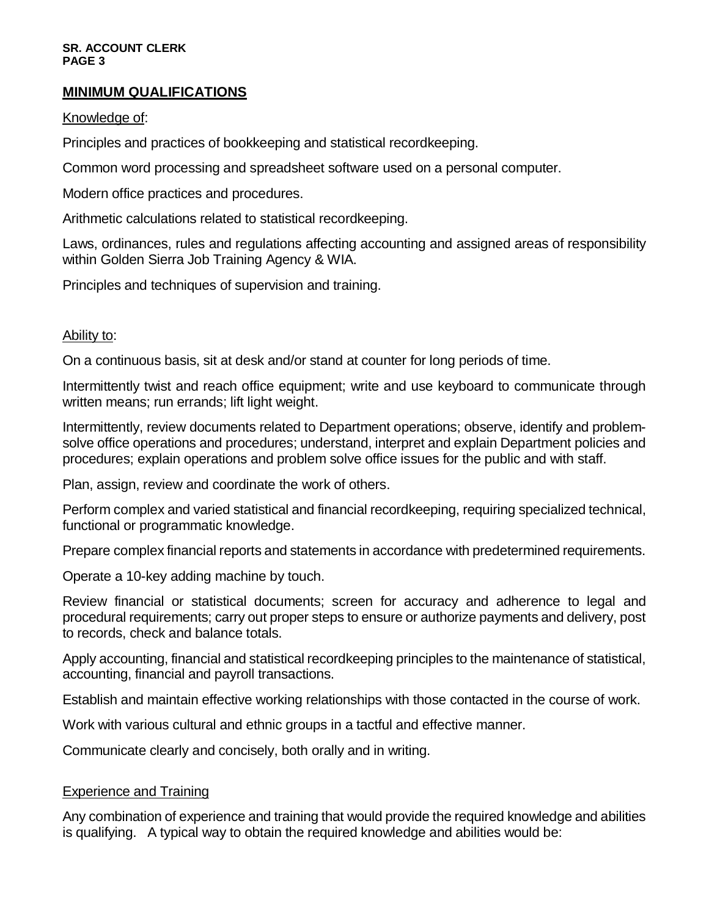#### **SR. ACCOUNT CLERK PAGE 3**

### **MINIMUM QUALIFICATIONS**

#### Knowledge of:

Principles and practices of bookkeeping and statistical recordkeeping.

Common word processing and spreadsheet software used on a personal computer.

Modern office practices and procedures.

Arithmetic calculations related to statistical recordkeeping.

Laws, ordinances, rules and regulations affecting accounting and assigned areas of responsibility within Golden Sierra Job Training Agency & WIA.

Principles and techniques of supervision and training.

#### Ability to:

On a continuous basis, sit at desk and/or stand at counter for long periods of time.

Intermittently twist and reach office equipment; write and use keyboard to communicate through written means; run errands; lift light weight.

Intermittently, review documents related to Department operations; observe, identify and problemsolve office operations and procedures; understand, interpret and explain Department policies and procedures; explain operations and problem solve office issues for the public and with staff.

Plan, assign, review and coordinate the work of others.

Perform complex and varied statistical and financial recordkeeping, requiring specialized technical, functional or programmatic knowledge.

Prepare complex financial reports and statements in accordance with predetermined requirements.

Operate a 10-key adding machine by touch.

Review financial or statistical documents; screen for accuracy and adherence to legal and procedural requirements; carry out proper steps to ensure or authorize payments and delivery, post to records, check and balance totals.

Apply accounting, financial and statistical recordkeeping principles to the maintenance of statistical, accounting, financial and payroll transactions.

Establish and maintain effective working relationships with those contacted in the course of work.

Work with various cultural and ethnic groups in a tactful and effective manner.

Communicate clearly and concisely, both orally and in writing.

#### Experience and Training

Any combination of experience and training that would provide the required knowledge and abilities is qualifying. A typical way to obtain the required knowledge and abilities would be: